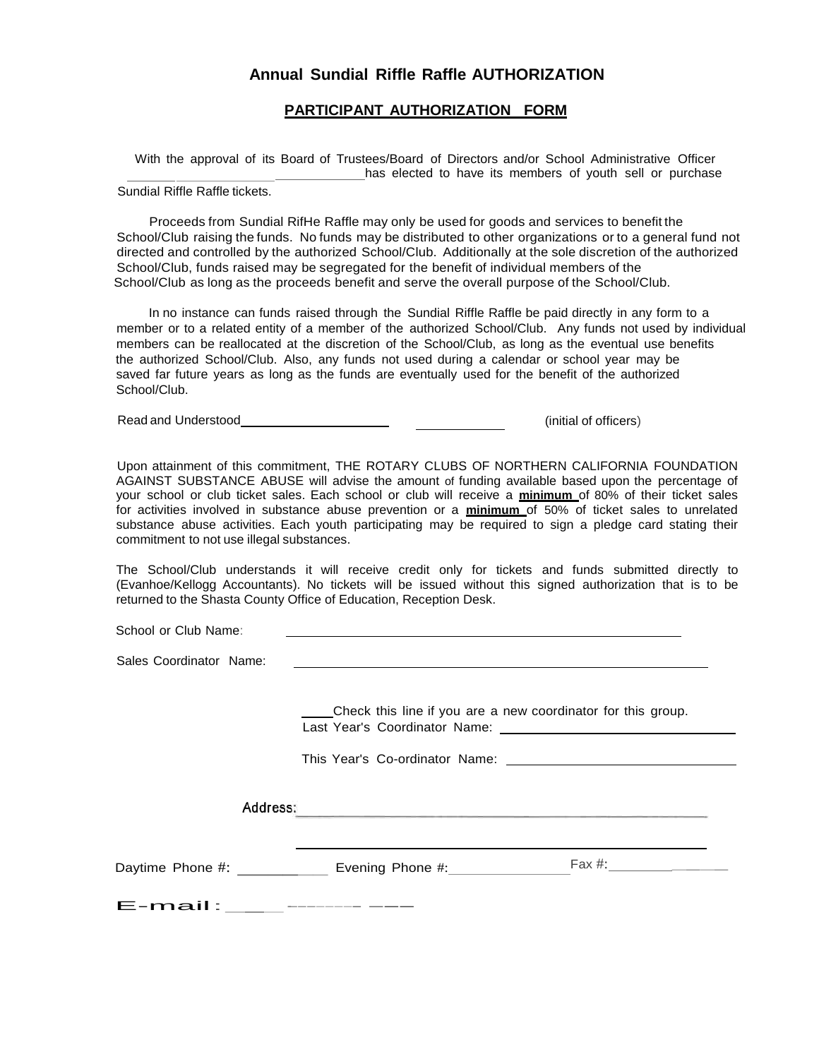## **Annual Sundial Riffle Raffle AUTHORIZATION**

## **PARTICIPANT AUTHORIZATION FORM**

With the approval of its Board of Trustees/Board of Directors and/or School Administrative Officer has elected to have its members of youth sell or purchase

Sundial Riffle Raffle tickets.

Proceeds from Sundial RifHe Raffle may only be used for goods and services to benefit the School/Club raising the funds. No funds may be distributed to other organizations or to a general fund not directed and controlled by the authorized School/Club. Additionally at the sole discretion of the authorized School/Club, funds raised may be segregated for the benefit of individual members of the School/Club as long as the proceeds benefit and serve the overall purpose of the School/Club.

In no instance can funds raised through the Sundial Riffle Raffle be paid directly in any form to a member or to a related entity of a member of the authorized School/Club. Any funds not used by individual members can be reallocated at the discretion of the School/Club, as long as the eventual use benefits the authorized School/Club. Also, any funds not used during a calendar or school year may be saved far future years as long as the funds are eventually used for the benefit of the authorized School/Club.

Read and Understood **Example 20** (initial of officers)

Upon attainment of this commitment, THE ROTARY CLUBS OF NORTHERN CALIFORNIA FOUNDATION AGAINST SUBSTANCE ABUSE will advise the amount of funding available based upon the percentage of your school or club ticket sales. Each school or club will receive a **minimum** of 80% of their ticket sales for activities involved in substance abuse prevention or a **minimum** of 50% of ticket sales to unrelated substance abuse activities. Each youth participating may be required to sign a pledge card stating their commitment to not use illegal substances.

The School/Club understands it will receive credit only for tickets and funds submitted directly to (Evanhoe/Kellogg Accountants). No tickets will be issued without this signed authorization that is to be returned to the Shasta County Office of Education, Reception Desk.

School or Club Name:

Sales Coordinator Name:

Check this line if you are a new coordinator for this group. Last Year's Coordinator Name:

This Year's Co-ordinator Name:

Daytime Phone #: \_\_\_\_\_\_\_\_\_\_\_\_\_ Evening Phone #: \_\_\_\_\_\_\_\_\_\_\_\_\_\_\_\_\_\_\_\_\_\_\_\_\_\_\_\_\_\_\_\_\_

E-mail:\_\_\_·-----------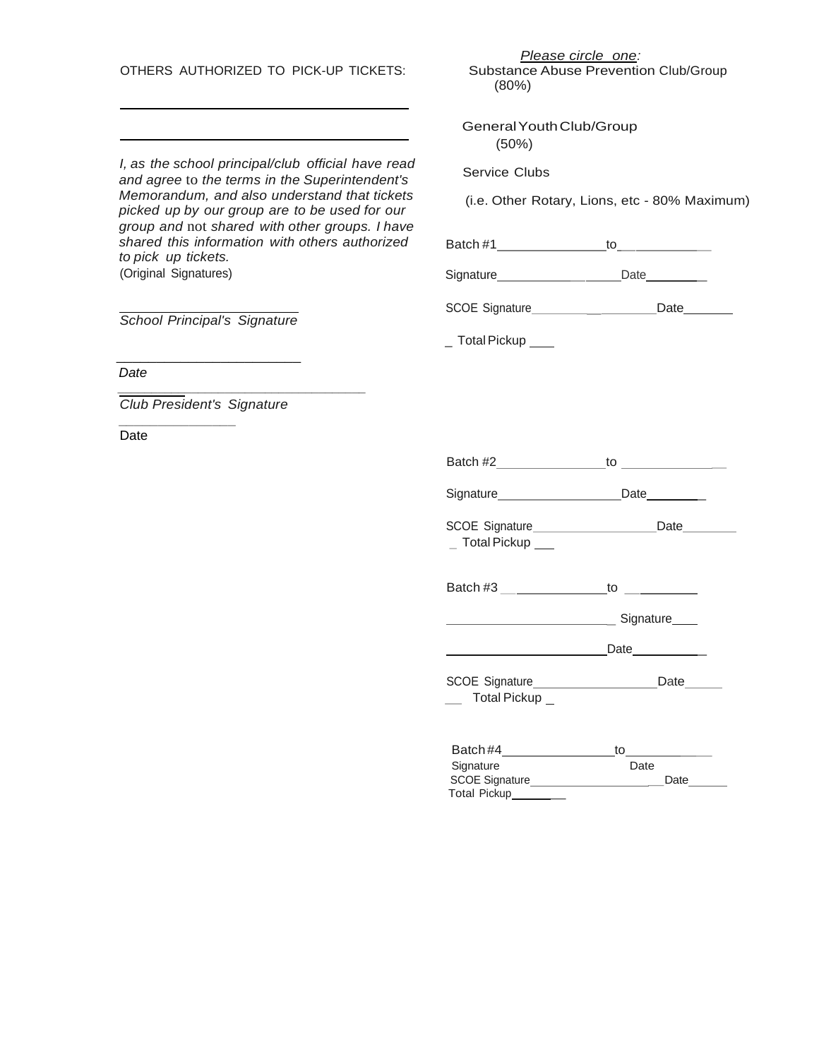*I, as the school principal/club official have read and agree* to *the terms in the Superintendent's Memorandum, and also understand that tickets picked up by our group are to be used for our group and* not *shared with other groups. I have shared this information with others authorized to pick up tickets.* (Original Signatures) *School Principal's Signature*  $\overline{\phantom{a}}$  , which is a set of the set of the set of the set of the set of the set of the set of the set of the set of the set of the set of the set of the set of the set of the set of the set of the set of the set of th  *Date \_\_\_\_\_\_\_\_\_\_\_\_\_\_\_\_\_\_\_\_\_\_\_\_\_\_\_\_\_\_\_\_\_\_\_\_\_ Club President's Signature \_\_\_\_\_\_\_\_\_\_\_\_\_\_\_* Date Substance Abuse Prevention Club/Group (80%) GeneralYouthClub/Group (50%) Service Clubs (i.e. Other Rotary, Lions, etc - 80% Maximum) Batch  $#1$  to Signature Date Date SCOE Signature \_\_\_\_\_\_\_\_\_\_\_\_\_\_\_\_Date\_\_\_\_\_\_\_\_\_ \_ Total Pickup \_\_\_ Batch #2 to \_ Signature Date Date SCOE Signature Date \_ Total Pickup \_\_\_ Batch #3 \_\_\_\_\_\_\_\_\_\_\_\_\_\_\_\_\_\_\_\_to \_\_\_\_\_\_\_\_\_\_\_\_\_\_ Later Later Signature Contract Contract Contract Contract Contract Contract Contract Contract Contract Contract Contract Contract Contract Contract Contract Contract Contract Contract Contract Contract Contract Contract Co Date \_ SCOE Signature\_\_\_\_\_\_\_\_\_\_\_\_\_\_\_\_\_\_\_\_\_\_\_\_\_Date\_\_\_\_\_\_\_  $\equiv$  Total Pickup

OTHERS AUTHORIZED TO PICK-UP TICKETS:

Batch #4 to \_\_ Signature SCOE Signature **Date** Total Pickup \_

*Please circle one:*